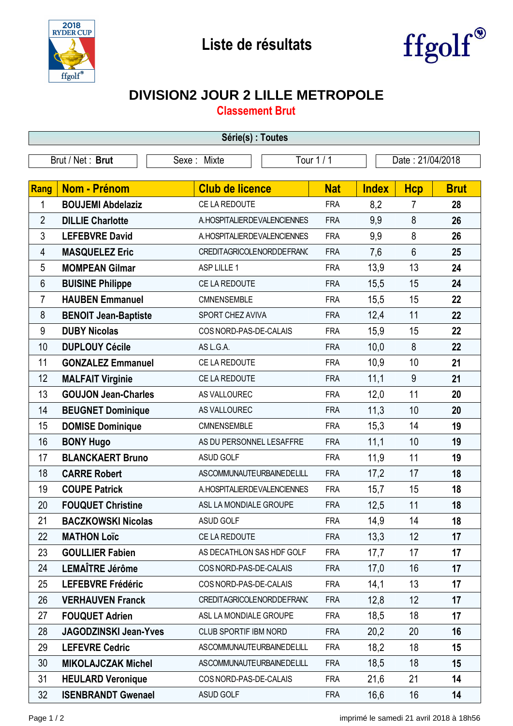



## **DIVISION2 JOUR 2 LILLE METROPOLE**

**Classement Brut**

| Série(s) : Toutes |                              |                                |            |                  |                |             |  |  |  |
|-------------------|------------------------------|--------------------------------|------------|------------------|----------------|-------------|--|--|--|
|                   | Brut / Net: Brut             | Sexe: Mixte                    | Tour 1 / 1 | Date: 21/04/2018 |                |             |  |  |  |
| Rang              | <b>Nom - Prénom</b>          | <b>Club de licence</b>         | <b>Nat</b> | <b>Index</b>     | <b>Hcp</b>     | <b>Brut</b> |  |  |  |
| 1                 | <b>BOUJEMI Abdelaziz</b>     | CE LA REDOUTE                  | <b>FRA</b> | 8,2              | $\overline{7}$ | 28          |  |  |  |
| $\overline{2}$    | <b>DILLIE Charlotte</b>      | A.HOSPITALIERDEVALENCIENNES    | <b>FRA</b> | 9,9              | 8              | 26          |  |  |  |
| 3                 | <b>LEFEBVRE David</b>        | A. HOSPITALIER DE VALENCIENNES | <b>FRA</b> | 9,9              | 8              | 26          |  |  |  |
| 4                 | <b>MASQUELEZ Eric</b>        | CREDITAGRICOLENORDDEFRANC      | <b>FRA</b> | 7,6              | $6\phantom{a}$ | 25          |  |  |  |
| 5                 | <b>MOMPEAN Gilmar</b>        | ASP LILLE 1                    | <b>FRA</b> | 13,9             | 13             | 24          |  |  |  |
| 6                 | <b>BUISINE Philippe</b>      | CE LA REDOUTE                  | <b>FRA</b> | 15,5             | 15             | 24          |  |  |  |
| $\overline{7}$    | <b>HAUBEN Emmanuel</b>       | CMNENSEMBLE                    | <b>FRA</b> | 15,5             | 15             | 22          |  |  |  |
| 8                 | <b>BENOIT Jean-Baptiste</b>  | SPORT CHEZ AVIVA               | <b>FRA</b> | 12,4             | 11             | 22          |  |  |  |
| 9                 | <b>DUBY Nicolas</b>          | COS NORD-PAS-DE-CALAIS         | <b>FRA</b> | 15,9             | 15             | 22          |  |  |  |
| 10                | <b>DUPLOUY Cécile</b>        | AS L.G.A.                      | <b>FRA</b> | 10,0             | 8              | 22          |  |  |  |
| 11                | <b>GONZALEZ Emmanuel</b>     | CE LA REDOUTE                  | <b>FRA</b> | 10,9             | 10             | 21          |  |  |  |
| 12                | <b>MALFAIT Virginie</b>      | CE LA REDOUTE                  | <b>FRA</b> | 11,1             | 9              | 21          |  |  |  |
| 13                | <b>GOUJON Jean-Charles</b>   | AS VALLOUREC                   | <b>FRA</b> | 12,0             | 11             | 20          |  |  |  |
| 14                | <b>BEUGNET Dominique</b>     | AS VALLOUREC                   | <b>FRA</b> | 11,3             | 10             | 20          |  |  |  |
| 15                | <b>DOMISE Dominique</b>      | CMNENSEMBLE                    | <b>FRA</b> | 15,3             | 14             | 19          |  |  |  |
| 16                | <b>BONY Hugo</b>             | AS DU PERSONNEL LESAFFRE       | <b>FRA</b> | 11,1             | 10             | 19          |  |  |  |
| 17                | <b>BLANCKAERT Bruno</b>      | ASUD GOLF                      | <b>FRA</b> | 11,9             | 11             | 19          |  |  |  |
| 18                | <b>CARRE Robert</b>          | ASCOMMUNAUTEURBAINEDELILL      | <b>FRA</b> | 17,2             | 17             | 18          |  |  |  |
| 19                | <b>COUPE Patrick</b>         | A. HOSPITALIER DE VALENCIENNES | <b>FRA</b> | 15,7             | 15             | 18          |  |  |  |
| 20                | <b>FOUQUET Christine</b>     | ASL LA MONDIALE GROUPE         | <b>FRA</b> | 12,5             | 11             | 18          |  |  |  |
| 21                | <b>BACZKOWSKI Nicolas</b>    | ASUD GOLF                      | FRA        | 14,9             | 14             | 18          |  |  |  |
| 22                | <b>MATHON Loïc</b>           | CE LA REDOUTE                  | <b>FRA</b> | 13,3             | 12             | 17          |  |  |  |
| 23                | <b>GOULLIER Fabien</b>       | AS DECATHLON SAS HDF GOLF      | <b>FRA</b> | 17,7             | 17             | 17          |  |  |  |
| 24                | LEMAÎTRE Jérôme              | COS NORD-PAS-DE-CALAIS         | <b>FRA</b> | 17,0             | 16             | 17          |  |  |  |
| 25                | <b>LEFEBVRE Frédéric</b>     | COS NORD-PAS-DE-CALAIS         | <b>FRA</b> | 14,1             | 13             | 17          |  |  |  |
| 26                | <b>VERHAUVEN Franck</b>      | CREDITAGRICOLENORDDEFRANC      | <b>FRA</b> | 12,8             | 12             | 17          |  |  |  |
| 27                | <b>FOUQUET Adrien</b>        | ASL LA MONDIALE GROUPE         | <b>FRA</b> | 18,5             | 18             | 17          |  |  |  |
| 28                | <b>JAGODZINSKI Jean-Yves</b> | CLUB SPORTIF IBM NORD          | <b>FRA</b> | 20,2             | 20             | 16          |  |  |  |
| 29                | <b>LEFEVRE Cedric</b>        | ASCOMMUNAUTEURBAINEDELILL      | <b>FRA</b> | 18,2             | 18             | 15          |  |  |  |
| 30                | <b>MIKOLAJCZAK Michel</b>    | ASCOMMUNAUTEURBAINEDELILL      | <b>FRA</b> | 18,5             | 18             | 15          |  |  |  |
| 31                | <b>HEULARD Veronique</b>     | COS NORD-PAS-DE-CALAIS         | <b>FRA</b> | 21,6             | 21             | 14          |  |  |  |
| 32                | <b>ISENBRANDT Gwenael</b>    | ASUD GOLF                      | <b>FRA</b> | 16,6             | 16             | 14          |  |  |  |